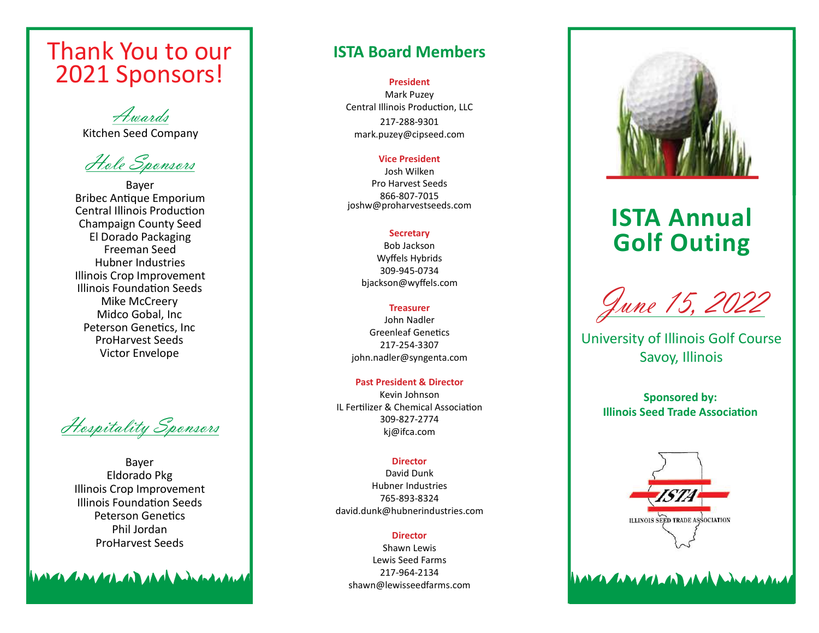# Thank You to our 2021 Sponsors!

Awards Kitchen Seed Company

Hole Sponsors

Bayer Bribec Antique Emporium Central Illinois Production Champaign County Seed El Dorado Packaging Freeman Seed Hubner Industries Illinois Crop Improvement Illinois Foundation Seeds Mike McCreery Midco Gobal, Inc Peterson Genetics, Inc ProHarvest Seeds Victor Envelope

Hospitality Sponsors

Bayer Eldorado Pkg Illinois Crop Improvement Illinois Foundation Seeds Peterson Genetics Phil Jordan ProHarvest Seeds

**ANALON ANALON AND AND ANNANALONAL** 

# ISTA Board Members

#### President

Mark Puzey Central Illinois Production, LLC 217-288-9301 mark.puzey@cipseed.com

#### Vice President

Josh Wilken Pro Harvest Seeds 866-807-7015 joshw@proharvestseeds.com

### **Secretary**

Bob Jackson Wyffels Hybrids 309-945-0734 bjackson@wyffels.com

### Treasurer

John Nadler Greenleaf Genetics 217-254-3307 john.nadler@syngenta.com

Past President & Director Kevin Johnson IL Fertilizer & Chemical Association 309-827-2774 kj@ifca.com

### **Director**

David Dunk Hubner Industries 765-893-8324 david.dunk@hubnerindustries.com

### **Director**

Shawn Lewis Lewis Seed Farms 217-964-2134 shawn@lewisseedfarms.com



# ISTA Annual Golf Outing

June 15, 2022

University of Illinois Golf Course Savoy, Illinois

Sponsored by: **Illinois Seed Trade Association** 



**MARCA CARA ACA CAR ARA A ARACA ALAN ALA**